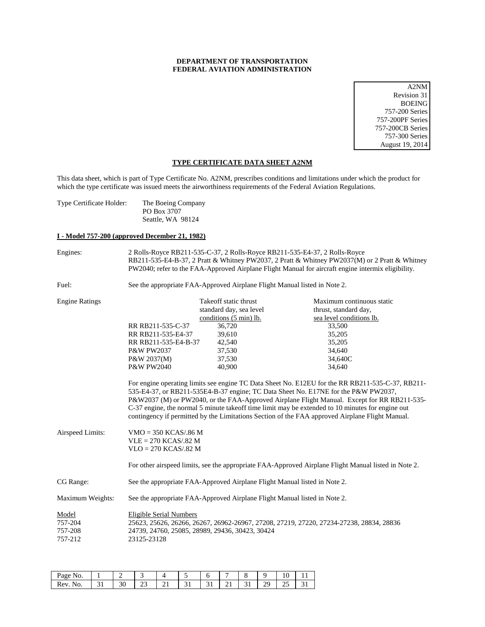# **DEPARTMENT OF TRANSPORTATION FEDERAL AVIATION ADMINISTRATION**

A2NM Revision 31 BOEING 757-200 Series 757-200PF Series 757-200CB Series 757-300 Series August 19, 2014

# **TYPE CERTIFICATE DATA SHEET A2NM**

This data sheet, which is part of Type Certificate No. A2NM, prescribes conditions and limitations under which the product for which the type certificate was issued meets the airworthiness requirements of the Federal Aviation Regulations.

| The Boeing Company |
|--------------------|
| PO Box 3707        |
| Seattle, WA 98124  |
|                    |

# **I - Model 757-200 (approved December 21, 1982)**

| Engines:                               |                                                                                                                                                                                                                                                                                                                                                                                                                                                                                              | 2 Rolls-Royce RB211-535-C-37, 2 Rolls-Royce RB211-535-E4-37, 2 Rolls-Royce | RB211-535-E4-B-37, 2 Pratt & Whitney PW2037, 2 Pratt & Whitney PW2037(M) or 2 Pratt & Whitney<br>PW2040; refer to the FAA-Approved Airplane Flight Manual for aircraft engine intermix eligibility. |  |  |
|----------------------------------------|----------------------------------------------------------------------------------------------------------------------------------------------------------------------------------------------------------------------------------------------------------------------------------------------------------------------------------------------------------------------------------------------------------------------------------------------------------------------------------------------|----------------------------------------------------------------------------|-----------------------------------------------------------------------------------------------------------------------------------------------------------------------------------------------------|--|--|
| Fuel:                                  |                                                                                                                                                                                                                                                                                                                                                                                                                                                                                              | See the appropriate FAA-Approved Airplane Flight Manual listed in Note 2.  |                                                                                                                                                                                                     |  |  |
| <b>Engine Ratings</b>                  |                                                                                                                                                                                                                                                                                                                                                                                                                                                                                              | Takeoff static thrust<br>standard day, sea level<br>conditions (5 min) lb. | Maximum continuous static<br>thrust, standard day,<br>sea level conditions lb.                                                                                                                      |  |  |
|                                        | RR RB211-535-C-37<br>RR RB211-535-E4-37<br>RR RB211-535-E4-B-37<br>P&W PW2037<br>$P\&W 2037(M)$<br><b>P&amp;W PW2040</b>                                                                                                                                                                                                                                                                                                                                                                     | 36,720<br>39,610<br>42,540<br>37,530<br>37,530<br>40,900                   | 33,500<br>35,205<br>35,205<br>34,640<br>34,640C<br>34,640                                                                                                                                           |  |  |
|                                        | For engine operating limits see engine TC Data Sheet No. E12EU for the RR RB211-535-C-37, RB211-<br>535-E4-37, or RB211-535E4-B-37 engine; TC Data Sheet No. E17NE for the P&W PW2037,<br>P&W2037 (M) or PW2040, or the FAA-Approved Airplane Flight Manual. Except for RR RB211-535-<br>C-37 engine, the normal 5 minute takeoff time limit may be extended to 10 minutes for engine out<br>contingency if permitted by the Limitations Section of the FAA approved Airplane Flight Manual. |                                                                            |                                                                                                                                                                                                     |  |  |
| Airspeed Limits:                       | $VMO = 350 KCAS/0.86 M$<br>$VLE = 270 KCAS/0.82 M$<br>$VLO = 270 KCAS/0.82 M$                                                                                                                                                                                                                                                                                                                                                                                                                |                                                                            |                                                                                                                                                                                                     |  |  |
|                                        |                                                                                                                                                                                                                                                                                                                                                                                                                                                                                              |                                                                            | For other airspeed limits, see the appropriate FAA-Approved Airplane Flight Manual listed in Note 2.                                                                                                |  |  |
| CG Range:                              | See the appropriate FAA-Approved Airplane Flight Manual listed in Note 2.                                                                                                                                                                                                                                                                                                                                                                                                                    |                                                                            |                                                                                                                                                                                                     |  |  |
| Maximum Weights:                       | See the appropriate FAA-Approved Airplane Flight Manual listed in Note 2.                                                                                                                                                                                                                                                                                                                                                                                                                    |                                                                            |                                                                                                                                                                                                     |  |  |
| Model<br>757-204<br>757-208<br>757-212 | <b>Eligible Serial Numbers</b><br>23125-23128                                                                                                                                                                                                                                                                                                                                                                                                                                                | 24739, 24760, 25085, 28989, 29436, 30423, 30424                            | 25623, 25626, 26266, 26267, 26962-26967, 27208, 27219, 27220, 27234-27238, 28834, 28836                                                                                                             |  |  |

| Page<br>No.                         |   |    |           |   |   |   |   |    |          | л.                 |    |
|-------------------------------------|---|----|-----------|---|---|---|---|----|----------|--------------------|----|
| D<br>$\sqrt{\Delta V}$<br>NO.<br>KU | ັ | υU | ر__<br>__ | ∸ | ◡ | ◡ | ∸ | ັ້ | ገር<br>رے | $\sim$ $\sim$<br>ت | ັ້ |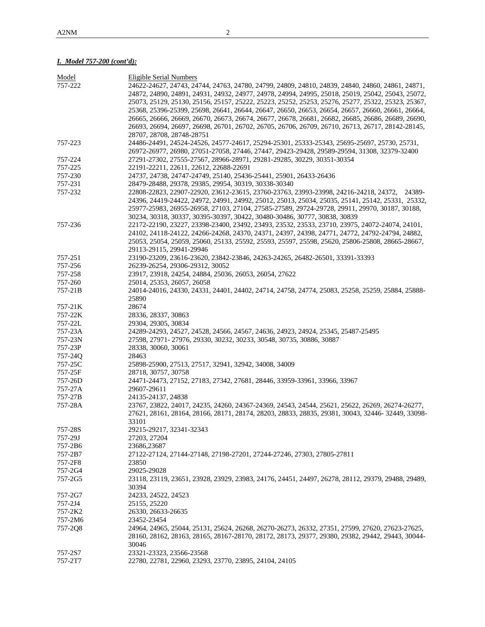# *I. Model 757-200 (cont'd):*

| Model   | <b>Eligible Serial Numbers</b>                                                                            |
|---------|-----------------------------------------------------------------------------------------------------------|
| 757-222 | 24622-24627, 24743, 24744, 24763, 24780, 24799, 24809, 24810, 24839, 24840, 24860, 24861, 24871,          |
|         | 24872, 24890, 24891, 24931, 24932, 24977, 24978, 24994, 24995, 25018, 25019, 25042, 25043, 25072,         |
|         | 25073, 25129, 25130, 25156, 25157, 25222, 25223, 25252, 25253, 25276, 25277, 25322, 25323, 25367,         |
|         | 25368, 25396-25399, 25698, 26641, 26644, 26647, 26650, 26653, 26654, 26657, 26660, 26661, 26664,          |
|         | 26665, 26666, 26669, 26670, 26673, 26674, 26677, 26678, 26681, 26682, 26685, 26686, 26689, 26690,         |
|         | 26693, 26694, 26697, 26698, 26701, 26702, 26705, 26706, 26709, 26710, 26713, 26717, 28142-28145,          |
|         | 28707, 28708, 28748-28751                                                                                 |
| 757-223 | 24486-24491, 24524-24526, 24577-24617, 25294-25301, 25333-25343, 25695-25697, 25730, 25731,               |
|         | 26972-26977, 26980, 27051-27058, 27446, 27447, 29423-29428, 29589-29594, 31308, 32379-32400               |
| 757-224 | 27291-27302, 27555-27567, 28966-28971, 29281-29285, 30229, 30351-30354                                    |
| 757-225 | 22191-22211, 22611, 22612, 22688-22691                                                                    |
| 757-230 | 24737, 24738, 24747-24749, 25140, 25436-25441, 25901, 26433-26436                                         |
| 757-231 | 28479-28488, 29378, 29385, 29954, 30319, 30338-30340                                                      |
| 757-232 | 22808-22823, 22907-22920, 23612-23615, 23760-23763, 23993-23998, 24216-24218, 24372, 24389-               |
|         | 24396, 24419-24422, 24972, 24991, 24992, 25012, 25013, 25034, 25035, 25141, 25142, 25331, 25332,          |
|         | 25977-25983, 26955-26958, 27103, 27104, 27585-27589, 29724-29728, 29911, 29970, 30187, 30188,             |
|         | 30234, 30318, 30337, 30395-30397, 30422, 30480-30486, 30777, 30838, 30839                                 |
| 757-236 | 22172-22190, 23227, 23398-23400, 23492, 23493, 23532, 23533, 23710, 23975, 24072-24074, 24101,            |
|         | 24102, 24118-24122, 24266-24268, 24370, 24371, 24397, 24398, 24771, 24772, 24792-24794, 24882,            |
|         | 25053, 25054, 25059, 25060, 25133, 25592, 25593, 25597, 25598, 25620, 25806-25808, 28665-28667,           |
|         | 29113-29115, 29941-29946                                                                                  |
| 757-251 | 23190-23209, 23616-23620, 23842-23846, 24263-24265, 26482-26501, 33391-33393                              |
| 757-256 | 26239-26254, 29306-29312, 30052                                                                           |
| 757-258 | 23917, 23918, 24254, 24884, 25036, 26053, 26054, 27622                                                    |
|         |                                                                                                           |
| 757-260 | 25014, 25353, 26057, 26058                                                                                |
| 757-21B | 24014-24016, 24330, 24331, 24401, 24402, 24714, 24758, 24774, 25083, 25258, 25259, 25884, 25888-<br>25890 |
| 757-21K | 28674                                                                                                     |
| 757-22K | 28336, 28337, 30863                                                                                       |
| 757-22L | 29304, 29305, 30834                                                                                       |
| 757-23A | 24289-24293, 24527, 24528, 24566, 24567, 24636, 24923, 24924, 25345, 25487-25495                          |
| 757-23N | 27598, 27971-27976, 29330, 30232, 30233, 30548, 30735, 30886, 30887                                       |
| 757-23P | 28338, 30060, 30061                                                                                       |
| 757-24Q | 28463                                                                                                     |
| 757-25C | 25898-25900, 27513, 27517, 32941, 32942, 34008, 34009                                                     |
| 757-25F | 28718, 30757, 30758                                                                                       |
| 757-26D | 24471-24473, 27152, 27183, 27342, 27681, 28446, 33959-33961, 33966, 33967                                 |
| 757-27A | 29607-29611                                                                                               |
| 757-27B | 24135-24137, 24838                                                                                        |
| 757-28A | 23767, 23822, 24017, 24235, 24260, 24367-24369, 24543, 24544, 25621, 25622, 26269, 26274-26277,           |
|         | 27621, 28161, 28164, 28166, 28171, 28174, 28203, 28833, 28835, 29381, 30043, 32446- 32449, 33098-         |
|         | 33101                                                                                                     |
| 757-28S | 29215-29217, 32341-32343                                                                                  |
| 757-29J | 27203, 27204                                                                                              |
| 757-2B6 | 23686,23687                                                                                               |
| 757-2B7 | 27122-27124, 27144-27148, 27198-27201, 27244-27246, 27303, 27805-27811                                    |
| 757-2F8 | 23850                                                                                                     |
|         |                                                                                                           |
| 757-2G4 | 29025-29028                                                                                               |
| 757-2G5 | 23118, 23119, 23651, 23928, 23929, 23983, 24176, 24451, 24497, 26278, 28112, 29379, 29488, 29489,         |
|         | 30394                                                                                                     |
| 757-2G7 | 24233, 24522, 24523                                                                                       |
| 757-2J4 | 25155, 25220                                                                                              |
| 757-2K2 | 26330, 26633-26635                                                                                        |
| 757-2M6 | 23452-23454                                                                                               |
| 757-2Q8 | 24964, 24965, 25044, 25131, 25624, 26268, 26270-26273, 26332, 27351, 27599, 27620, 27623-27625,           |
|         | 28160, 28162, 28163, 28165, 28167-28170, 28172, 28173, 29377, 29380, 29382, 29442, 29443, 30044-          |
|         | 30046                                                                                                     |
| 757-2S7 | 23321-23323, 23566-23568                                                                                  |
| 757-2T7 | 22780, 22781, 22960, 23293, 23770, 23895, 24104, 24105                                                    |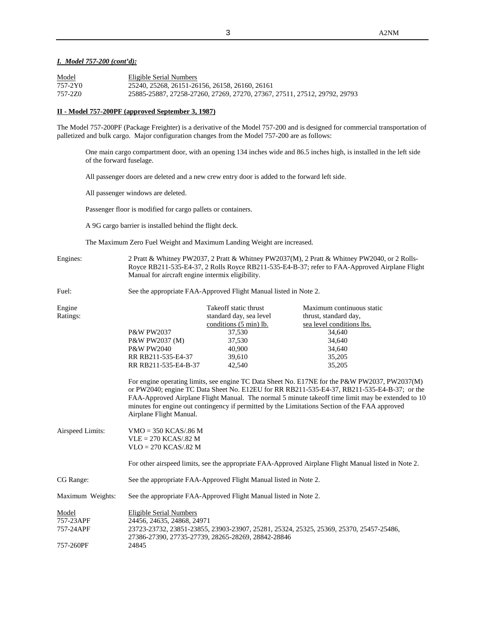## *I. Model 757-200 (cont'd):*

| Model   | Eligible Serial Numbers                                                   |
|---------|---------------------------------------------------------------------------|
| 757-2Y0 | 25240, 25268, 26151-26156, 26158, 26160, 26161                            |
| 757-2Z0 | 25885-25887, 27258-27260, 27269, 27270, 27367, 27511, 27512, 29792, 29793 |

### **II - Model 757-200PF (approved September 3, 1987)**

The Model 757-200PF (Package Freighter) is a derivative of the Model 757-200 and is designed for commercial transportation of palletized and bulk cargo. Major configuration changes from the Model 757-200 are as follows:

One main cargo compartment door, with an opening 134 inches wide and 86.5 inches high, is installed in the left side of the forward fuselage.

All passenger doors are deleted and a new crew entry door is added to the forward left side.

All passenger windows are deleted.

Passenger floor is modified for cargo pallets or containers.

A 9G cargo barrier is installed behind the flight deck.

The Maximum Zero Fuel Weight and Maximum Landing Weight are increased.

Engines: 2 Pratt & Whitney PW2037, 2 Pratt & Whitney PW2037(M), 2 Pratt & Whitney PW2040, or 2 Rolls-Royce RB211-535-E4-37, 2 Rolls Royce RB211-535-E4-B-37; refer to FAA-Approved Airplane Flight Manual for aircraft engine intermix eligibility.

Fuel: See the appropriate FAA-Approved Flight Manual listed in Note 2.

| Take off static thrust<br>standard day, sea level | Maximum continuous static<br>thrust, standard day, |
|---------------------------------------------------|----------------------------------------------------|
|                                                   | sea level conditions lbs.                          |
| 37,530                                            | 34,640                                             |
| 37,530                                            | 34,640                                             |
| 40,900                                            | 34,640                                             |
| 39.610                                            | 35,205                                             |
| RR RB211-535-E4-B-37<br>42,540                    | 35,205                                             |
|                                                   | conditions (5 min) lb.                             |

For engine operating limits, see engine TC Data Sheet No. E17NE for the P&W PW2037, PW2037(M) or PW2040; engine TC Data Sheet No. E12EU for RR RB211-535-E4-37, RB211-535-E4-B-37; or the FAA-Approved Airplane Flight Manual. The normal 5 minute takeoff time limit may be extended to 10 minutes for engine out contingency if permitted by the Limitations Section of the FAA approved Airplane Flight Manual.

| Airspeed Limits: | $VMO = 350 KCAS/86 M$   |
|------------------|-------------------------|
|                  | $VLE = 270 KCAS/0.82 M$ |
|                  | $VLO = 270 KCAS/0.82 M$ |
|                  |                         |

For other airspeed limits, see the appropriate FAA-Approved Airplane Flight Manual listed in Note 2.

CG Range: See the appropriate FAA-Approved Flight Manual listed in Note 2.

Maximum Weights: See the appropriate FAA-Approved Flight Manual listed in Note 2.

| Model     | Eligible Serial Numbers                                                                |
|-----------|----------------------------------------------------------------------------------------|
| 757-23APF | 24456, 24635, 24868, 24971                                                             |
| 757-24APF | 23723-23732, 23851-23855, 23903-23907, 25281, 25324, 25325, 25369, 25370, 25457-25486, |
|           | 27386-27390, 27735-27739, 28265-28269, 28842-28846                                     |
| 757-260PF | 24845                                                                                  |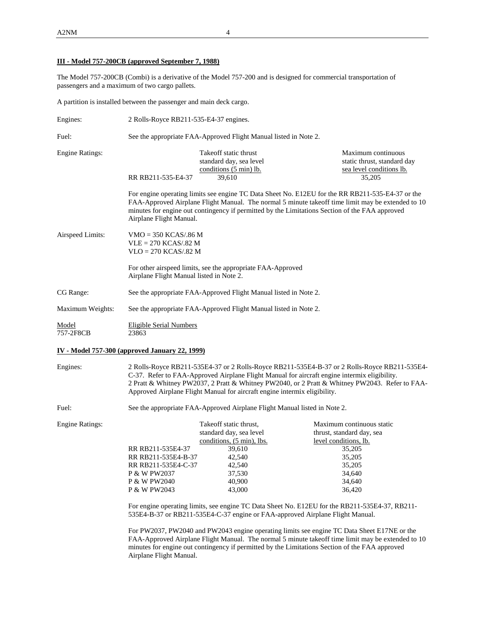A2NM 4

# **III - Model 757-200CB (approved September 7, 1988)**

The Model 757-200CB (Combi) is a derivative of the Model 757-200 and is designed for commercial transportation of passengers and a maximum of two cargo pallets.

A partition is installed between the passenger and main deck cargo.

| Engines:               | 2 Rolls-Royce RB211-535-E4-37 engines.                                                                  |                                                                                                                                                                           |                                                                                                                                                                                                       |  |  |
|------------------------|---------------------------------------------------------------------------------------------------------|---------------------------------------------------------------------------------------------------------------------------------------------------------------------------|-------------------------------------------------------------------------------------------------------------------------------------------------------------------------------------------------------|--|--|
| Fuel:                  | See the appropriate FAA-Approved Flight Manual listed in Note 2.                                        |                                                                                                                                                                           |                                                                                                                                                                                                       |  |  |
| <b>Engine Ratings:</b> | RR RB211-535-E4-37                                                                                      | Takeoff static thrust<br>standard day, sea level<br>conditions (5 min) lb.<br>39,610                                                                                      | Maximum continuous<br>static thrust, standard day<br>sea level conditions lb.<br>35,205                                                                                                               |  |  |
|                        | Airplane Flight Manual.                                                                                 | minutes for engine out contingency if permitted by the Limitations Section of the FAA approved                                                                            | For engine operating limits see engine TC Data Sheet No. E12EU for the RR RB211-535-E4-37 or the<br>FAA-Approved Airplane Flight Manual. The normal 5 minute takeoff time limit may be extended to 10 |  |  |
| Airspeed Limits:       | $VMO = 350 KCAS/0.86 M$<br>$VLE = 270 KCAS/0.82 M$<br>$VLO = 270 KCAS/0.82 M$                           |                                                                                                                                                                           |                                                                                                                                                                                                       |  |  |
|                        | For other airspeed limits, see the appropriate FAA-Approved<br>Airplane Flight Manual listed in Note 2. |                                                                                                                                                                           |                                                                                                                                                                                                       |  |  |
| CG Range:              | See the appropriate FAA-Approved Flight Manual listed in Note 2.                                        |                                                                                                                                                                           |                                                                                                                                                                                                       |  |  |
| Maximum Weights:       |                                                                                                         | See the appropriate FAA-Approved Flight Manual listed in Note 2.                                                                                                          |                                                                                                                                                                                                       |  |  |
| Model<br>757-2F8CB     | Eligible Serial Numbers<br>23863                                                                        |                                                                                                                                                                           |                                                                                                                                                                                                       |  |  |
|                        | IV - Model 757-300 (approved January 22, 1999)                                                          |                                                                                                                                                                           |                                                                                                                                                                                                       |  |  |
| Engines:               |                                                                                                         | C-37. Refer to FAA-Approved Airplane Flight Manual for aircraft engine intermix eligibility.<br>Approved Airplane Flight Manual for aircraft engine intermix eligibility. | 2 Rolls-Royce RB211-535E4-37 or 2 Rolls-Royce RB211-535E4-B-37 or 2 Rolls-Royce RB211-535E4-<br>2 Pratt & Whitney PW2037, 2 Pratt & Whitney PW2040, or 2 Pratt & Whitney PW2043. Refer to FAA-        |  |  |
| Fuel:                  |                                                                                                         | See the appropriate FAA-Approved Airplane Flight Manual listed in Note 2.                                                                                                 |                                                                                                                                                                                                       |  |  |
| <b>Engine Ratings:</b> |                                                                                                         | Takeoff static thrust,<br>standard day, sea level<br>conditions, (5 min), lbs.                                                                                            | Maximum continuous static<br>thrust, standard day, sea<br>level conditions, lb.                                                                                                                       |  |  |

P & W PW2040 40,900 34,640<br>
P & W PW2043 43,000 36,420 P & W PW2043 For engine operating limits, see engine TC Data Sheet No. E12EU for the RB211-535E4-37, RB211- 535E4-B-37 or RB211-535E4-C-37 engine or FAA-approved Airplane Flight Manual.

RR RB211-535E4-37 39,610 35,205 RR RB211-535E4-B-37 42,540 35,205 RR RB211-535E4-C-37 42,540 35,205 P & W PW2037 37,530 34,640<br>
P & W PW2040 40,900 34,640

For PW2037, PW2040 and PW2043 engine operating limits see engine TC Data Sheet E17NE or the FAA-Approved Airplane Flight Manual. The normal 5 minute takeoff time limit may be extended to 10 minutes for engine out contingency if permitted by the Limitations Section of the FAA approved Airplane Flight Manual.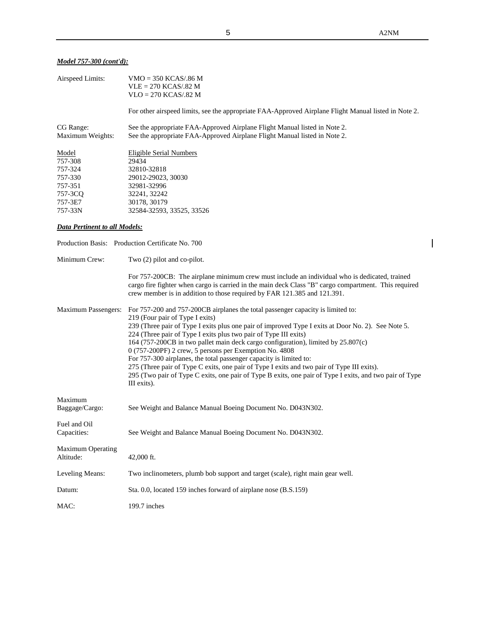# *Model 757-300 (cont'd):*

| Airspeed Limits:                      | $VMO = 350 KCAS/0.86 M$<br>$VLE = 270 KCAS/0.82 M$<br>$VLO = 270 KCAS/0.82 M$                                                                                                                                                                                                                                                                                                                                                                                                                                                                                                                                                                                                                                                             |  |
|---------------------------------------|-------------------------------------------------------------------------------------------------------------------------------------------------------------------------------------------------------------------------------------------------------------------------------------------------------------------------------------------------------------------------------------------------------------------------------------------------------------------------------------------------------------------------------------------------------------------------------------------------------------------------------------------------------------------------------------------------------------------------------------------|--|
|                                       | For other airspeed limits, see the appropriate FAA-Approved Airplane Flight Manual listed in Note 2.                                                                                                                                                                                                                                                                                                                                                                                                                                                                                                                                                                                                                                      |  |
| CG Range:<br>Maximum Weights:         | See the appropriate FAA-Approved Airplane Flight Manual listed in Note 2.<br>See the appropriate FAA-Approved Airplane Flight Manual listed in Note 2.                                                                                                                                                                                                                                                                                                                                                                                                                                                                                                                                                                                    |  |
| Model<br>757-308                      | <b>Eligible Serial Numbers</b><br>29434                                                                                                                                                                                                                                                                                                                                                                                                                                                                                                                                                                                                                                                                                                   |  |
| 757-324<br>757-330                    | 32810-32818<br>29012-29023, 30030                                                                                                                                                                                                                                                                                                                                                                                                                                                                                                                                                                                                                                                                                                         |  |
| 757-351                               | 32981-32996                                                                                                                                                                                                                                                                                                                                                                                                                                                                                                                                                                                                                                                                                                                               |  |
| 757-3CQ                               | 32241, 32242                                                                                                                                                                                                                                                                                                                                                                                                                                                                                                                                                                                                                                                                                                                              |  |
| 757-3E7                               | 30178, 30179                                                                                                                                                                                                                                                                                                                                                                                                                                                                                                                                                                                                                                                                                                                              |  |
| 757-33N                               | 32584-32593, 33525, 33526                                                                                                                                                                                                                                                                                                                                                                                                                                                                                                                                                                                                                                                                                                                 |  |
| Data Pertinent to all Models:         |                                                                                                                                                                                                                                                                                                                                                                                                                                                                                                                                                                                                                                                                                                                                           |  |
|                                       | Production Basis: Production Certificate No. 700                                                                                                                                                                                                                                                                                                                                                                                                                                                                                                                                                                                                                                                                                          |  |
| Minimum Crew:                         | Two $(2)$ pilot and co-pilot.                                                                                                                                                                                                                                                                                                                                                                                                                                                                                                                                                                                                                                                                                                             |  |
|                                       | For 757-200CB: The airplane minimum crew must include an individual who is dedicated, trained<br>cargo fire fighter when cargo is carried in the main deck Class "B" cargo compartment. This required<br>crew member is in addition to those required by FAR 121.385 and 121.391.                                                                                                                                                                                                                                                                                                                                                                                                                                                         |  |
| <b>Maximum Passengers:</b>            | For 757-200 and 757-200CB airplanes the total passenger capacity is limited to:<br>219 (Four pair of Type I exits)<br>239 (Three pair of Type I exits plus one pair of improved Type I exits at Door No. 2). See Note 5.<br>224 (Three pair of Type I exits plus two pair of Type III exits)<br>164 (757-200CB in two pallet main deck cargo configuration), limited by 25.807(c)<br>0 (757-200PF) 2 crew, 5 persons per Exemption No. 4808<br>For 757-300 airplanes, the total passenger capacity is limited to:<br>275 (Three pair of Type C exits, one pair of Type I exits and two pair of Type III exits).<br>295 (Two pair of Type C exits, one pair of Type B exits, one pair of Type I exits, and two pair of Type<br>III exits). |  |
| Maximum<br>Baggage/Cargo:             | See Weight and Balance Manual Boeing Document No. D043N302.                                                                                                                                                                                                                                                                                                                                                                                                                                                                                                                                                                                                                                                                               |  |
| Fuel and Oil<br>Capacities:           | See Weight and Balance Manual Boeing Document No. D043N302.                                                                                                                                                                                                                                                                                                                                                                                                                                                                                                                                                                                                                                                                               |  |
| <b>Maximum Operating</b><br>Altitude: | 42,000 ft.                                                                                                                                                                                                                                                                                                                                                                                                                                                                                                                                                                                                                                                                                                                                |  |
| Leveling Means:                       | Two inclinometers, plumb bob support and target (scale), right main gear well.                                                                                                                                                                                                                                                                                                                                                                                                                                                                                                                                                                                                                                                            |  |
| Datum:                                | Sta. 0.0, located 159 inches forward of airplane nose (B.S.159)                                                                                                                                                                                                                                                                                                                                                                                                                                                                                                                                                                                                                                                                           |  |
| MAC:                                  | 199.7 inches                                                                                                                                                                                                                                                                                                                                                                                                                                                                                                                                                                                                                                                                                                                              |  |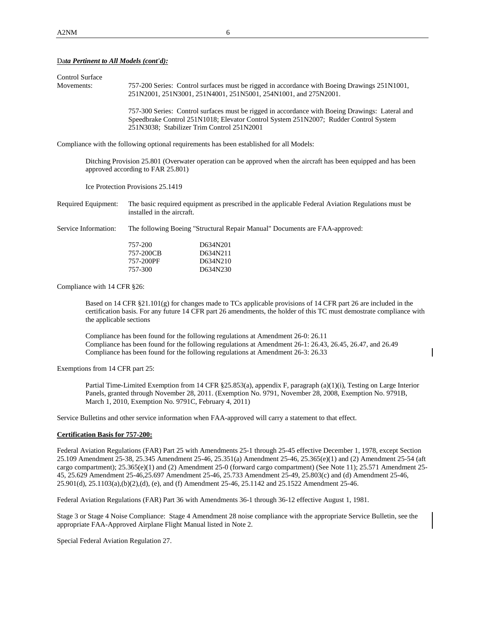## Da*ta Pertinent to All Models (cont'd):*

| Control Surface |                                                                                                                                                                 |
|-----------------|-----------------------------------------------------------------------------------------------------------------------------------------------------------------|
| Movements:      | 757-200 Series: Control surfaces must be rigged in accordance with Boeing Drawings 251N1001,<br>251N2001, 251N3001, 251N4001, 251N5001, 254N1001, and 275N2001. |
|                 | 757-300 Series: Control surfaces must be rigged in accordance with Boeing Drawings: Lateral and                                                                 |
|                 | Speedbrake Control 251N1018; Elevator Control System 251N2007; Rudder Control System                                                                            |
|                 | 251N3038; Stabilizer Trim Control 251N2001                                                                                                                      |

Compliance with the following optional requirements has been established for all Models:

Ditching Provision 25.801 (Overwater operation can be approved when the aircraft has been equipped and has been approved according to FAR 25.801)

Ice Protection Provisions 25.1419

Required Equipment: The basic required equipment as prescribed in the applicable Federal Aviation Regulations must be installed in the aircraft.

Service Information: The following Boeing "Structural Repair Manual" Documents are FAA-approved:

| 757-200   | D634N201 |
|-----------|----------|
| 757-200CB | D634N211 |
| 757-200PF | D634N210 |
| 757-300   | D634N230 |

Compliance with 14 CFR §26:

Based on 14 CFR §21.101(g) for changes made to TCs applicable provisions of 14 CFR part 26 are included in the certification basis. For any future 14 CFR part 26 amendments, the holder of this TC must demostrate compliance with the applicable sections

Compliance has been found for the following regulations at Amendment 26-0: 26.11 Compliance has been found for the following regulations at Amendment 26-1: 26.43, 26.45, 26.47, and 26.49 Compliance has been found for the following regulations at Amendment 26-3: 26.33

Exemptions from 14 CFR part 25:

Partial Time-Limited Exemption from 14 CFR §25.853(a), appendix F, paragraph (a)(1)(i), Testing on Large Interior Panels, granted through November 28, 2011. (Exemption No. 9791, November 28, 2008, Exemption No. 9791B, March 1, 2010, Exemption No. 9791C, February 4, 2011)

Service Bulletins and other service information when FAA-approved will carry a statement to that effect.

#### **Certification Basis for 757-200:**

Federal Aviation Regulations (FAR) Part 25 with Amendments 25-1 through 25-45 effective December 1, 1978, except Section 25.109 Amendment 25-38, 25.345 Amendment 25-46, 25.351(a) Amendment 25-46, 25.365(e)(1) and (2) Amendment 25-54 (aft cargo compartment); 25.365(e)(1) and (2) Amendment 25-0 (forward cargo compartment) (See Note 11); 25.571 Amendment 25-45, 25.629 Amendment 25-46,25.697 Amendment 25-46, 25.733 Amendment 25-49, 25.803(c) and (d) Amendment 25-46, 25.901(d), 25.1103(a),(b)(2),(d), (e), and (f) Amendment 25-46, 25.1142 and 25.1522 Amendment 25-46.

Federal Aviation Regulations (FAR) Part 36 with Amendments 36-1 through 36-12 effective August 1, 1981.

Stage 3 or Stage 4 Noise Compliance: Stage 4 Amendment 28 noise compliance with the appropriate Service Bulletin, see the appropriate FAA-Approved Airplane Flight Manual listed in Note 2.

Special Federal Aviation Regulation 27.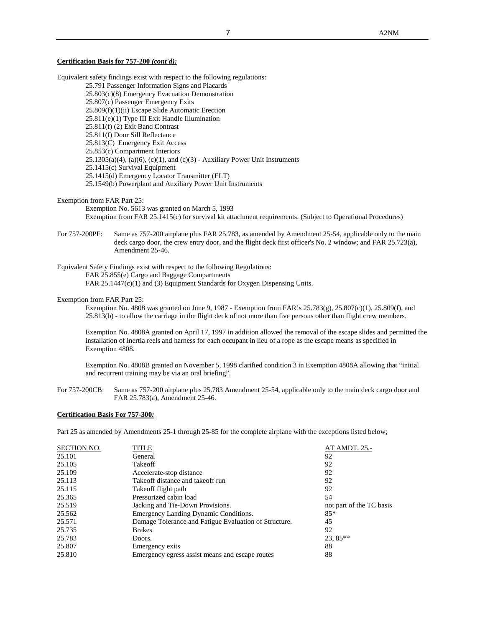### **Certification Basis for 757-200** *(cont'd):*

Equivalent safety findings exist with respect to the following regulations: 25.791 Passenger Information Signs and Placards 25.803(c)(8) Emergency Evacuation Demonstration 25.807(c) Passenger Emergency Exits 25.809(f)(1)(ii) Escape Slide Automatic Erection 25.811(e)(1) Type III Exit Handle Illumination 25.811(f) (2) Exit Band Contrast 25.811(f) Door Sill Reflectance 25.813(C) Emergency Exit Access 25.853(c) Compartment Interiors  $25.1305(a)(4)$ ,  $(a)(6)$ ,  $(c)(1)$ , and  $(c)(3)$  - Auxiliary Power Unit Instruments 25.1415(c) Survival Equipment 25.1415(d) Emergency Locator Transmitter (ELT) 25.1549(b) Powerplant and Auxiliary Power Unit Instruments

#### Exemption from FAR Part 25:

Exemption No. 5613 was granted on March 5, 1993 Exemption from FAR 25.1415(c) for survival kit attachment requirements. (Subject to Operational Procedures)

For 757-200PF: Same as 757-200 airplane plus FAR 25.783, as amended by Amendment 25-54, applicable only to the main deck cargo door, the crew entry door, and the flight deck first officer's No. 2 window; and FAR 25.723(a), Amendment 25-46.

Equivalent Safety Findings exist with respect to the following Regulations:

FAR 25.855(e) Cargo and Baggage Compartments

FAR 25.1447(c)(1) and (3) Equipment Standards for Oxygen Dispensing Units.

#### Exemption from FAR Part 25:

Exemption No. 4808 was granted on June 9, 1987 - Exemption from FAR's 25.783(g), 25.807(c)(1), 25.809(f), and 25.813(b) - to allow the carriage in the flight deck of not more than five persons other than flight crew members.

Exemption No. 4808A granted on April 17, 1997 in addition allowed the removal of the escape slides and permitted the installation of inertia reels and harness for each occupant in lieu of a rope as the escape means as specified in Exemption 4808.

Exemption No. 4808B granted on November 5, 1998 clarified condition 3 in Exemption 4808A allowing that "initial and recurrent training may be via an oral briefing".

For 757-200CB: Same as 757-200 airplane plus 25.783 Amendment 25-54, applicable only to the main deck cargo door and FAR 25.783(a), Amendment 25-46.

### **Certification Basis For 757-300***:*

Part 25 as amended by Amendments 25-1 through 25-85 for the complete airplane with the exceptions listed below;

| <b>SECTION NO.</b> | TITLE                                                 | AT AMDT. 25.-            |
|--------------------|-------------------------------------------------------|--------------------------|
| 25.101             | General                                               | 92                       |
| 25.105             | Takeoff                                               | 92                       |
| 25.109             | Accelerate-stop distance                              | 92                       |
| 25.113             | Take off distance and take off run                    | 92                       |
| 25.115             | Take off flight path                                  | 92                       |
| 25.365             | Pressurized cabin load                                | 54                       |
| 25.519             | Jacking and Tie-Down Provisions.                      | not part of the TC basis |
| 25.562             | Emergency Landing Dynamic Conditions.                 | $85*$                    |
| 25.571             | Damage Tolerance and Fatigue Evaluation of Structure. | 45                       |
| 25.735             | <b>Brakes</b>                                         | 92                       |
| 25.783             | Doors.                                                | $23,85**$                |
| 25.807             | Emergency exits                                       | 88                       |
| 25.810             | Emergency egress assist means and escape routes       | 88                       |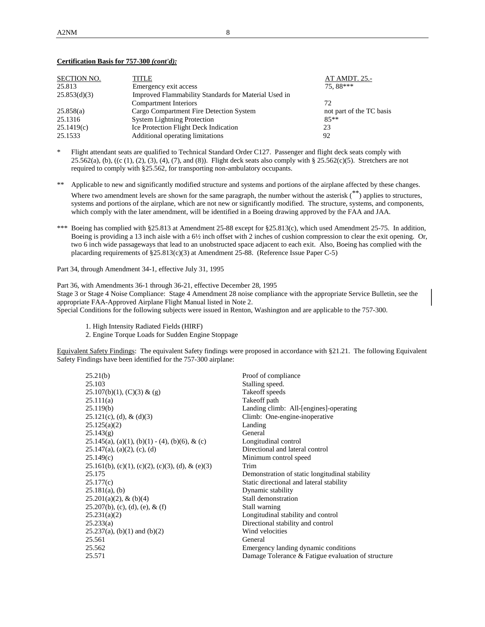| <b>SECTION NO.</b> | <b>TITLE</b>                                         | AT AMDT. 25.-            |  |
|--------------------|------------------------------------------------------|--------------------------|--|
| 25.813             | Emergency exit access                                | 75.88***                 |  |
| 25.853(d)(3)       | Improved Flammability Standards for Material Used in |                          |  |
|                    | Compartment Interiors                                | 72                       |  |
| 25.858(a)          | Cargo Compartment Fire Detection System              | not part of the TC basis |  |
| 25.1316            | <b>System Lightning Protection</b>                   | $85**$                   |  |
| 25.1419(c)         | <b>Ice Protection Flight Deck Indication</b>         | 23                       |  |
| 25.1533            | Additional operating limitations                     | 92                       |  |

### **Certification Basis for 757-300** *(cont'd):*

- \* Flight attendant seats are qualified to Technical Standard Order C127. Passenger and flight deck seats comply with 25.562(a), (b), ((c (1), (2), (3), (4), (7), and (8)). Flight deck seats also comply with § 25.562(c)(5). Stretchers are not required to comply with §25.562, for transporting non-ambulatory occupants.
- \*\* Applicable to new and significantly modified structure and systems and portions of the airplane affected by these changes. Where two amendment levels are shown for the same paragraph, the number without the asterisk  $(**)$  applies to structures, systems and portions of the airplane, which are not new or significantly modified. The structure, systems, and components, which comply with the later amendment, will be identified in a Boeing drawing approved by the FAA and JAA.
- \*\*\* Boeing has complied with §25.813 at Amendment 25-88 except for §25.813(c), which used Amendment 25-75. In addition, Boeing is providing a 13 inch aisle with a 6½ inch offset with 2 inches of cushion compression to clear the exit opening. Or, two 6 inch wide passageways that lead to an unobstructed space adjacent to each exit. Also, Boeing has complied with the placarding requirements of §25.813(c)(3) at Amendment 25-88. (Reference Issue Paper C-5)

Part 34, through Amendment 34-1, effective July 31, 1995

Part 36, with Amendments 36-1 through 36-21, effective December 28, 1995 Stage 3 or Stage 4 Noise Compliance: Stage 4 Amendment 28 noise compliance with the appropriate Service Bulletin, see the appropriate FAA-Approved Airplane Flight Manual listed in Note 2. Special Conditions for the following subjects were issued in Renton, Washington and are applicable to the 757-300.

- 1. High Intensity Radiated Fields (HIRF)
- 2. Engine Torque Loads for Sudden Engine Stoppage

Equivalent Safety Findings: The equivalent Safety findings were proposed in accordance with §21.21. The following Equivalent Safety Findings have been identified for the 757-300 airplane:

| 25.21(b)                                            | Proof of compliance                                |
|-----------------------------------------------------|----------------------------------------------------|
| 25.103                                              | Stalling speed.                                    |
| $25.107(b)(1)$ , (C)(3) & (g)                       | Takeoff speeds                                     |
| 25.111(a)                                           | Take off path                                      |
| 25.119(b)                                           | Landing climb: All-[engines]-operating             |
| $25.121(c)$ , (d), & (d)(3)                         | Climb: One-engine-inoperative                      |
| 25.125(a)(2)                                        | Landing                                            |
| 25.143(g)                                           | General                                            |
| $25.145(a)$ , (a)(1), (b)(1) - (4), (b)(6), & (c)   | Longitudinal control                               |
| $25.147(a)$ , (a)(2), (c), (d)                      | Directional and lateral control                    |
| 25.149(c)                                           | Minimum control speed                              |
| $25.161(b)$ , (c)(1), (c)(2), (c)(3), (d), & (e)(3) | Trim                                               |
| 25.175                                              | Demonstration of static longitudinal stability     |
| 25.177(c)                                           | Static directional and lateral stability           |
| $25.181(a)$ , (b)                                   | Dynamic stability                                  |
| $25.201(a)(2)$ , & (b)(4)                           | Stall demonstration                                |
| $25.207(b)$ , (c), (d), (e), & (f)                  | Stall warning                                      |
| 25.231(a)(2)                                        | Longitudinal stability and control                 |
| 25.233(a)                                           | Directional stability and control                  |
| $25.237(a)$ , (b)(1) and (b)(2)                     | Wind velocities                                    |
| 25.561                                              | General                                            |
| 25.562                                              | Emergency landing dynamic conditions               |
| 25.571                                              | Damage Tolerance & Fatigue evaluation of structure |
|                                                     |                                                    |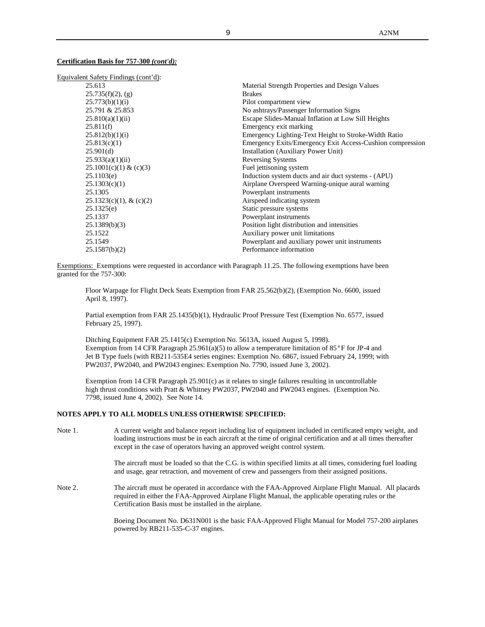## **Certification Basis for 757-300** *(cont'd):*

| Equivalent Safety Findings (cont'd): |                                                           |
|--------------------------------------|-----------------------------------------------------------|
| 25.613                               | Material Strength Properties and Design Values            |
| $25.735(f)(2)$ , (g)                 | <b>Brakes</b>                                             |
| 25.773(b)(1)(i)                      | Pilot compartment view                                    |
| 25.791 & 25.853                      | No ashtrays/Passenger Information Signs                   |
| 25.810(a)(1)(ii)                     | Escape Slides-Manual Inflation at Low Sill Heights        |
| 25.811(f)                            | Emergency exit marking                                    |
| 25.812(b)(1)(i)                      | Emergency Lighting-Text Height to Stroke-Width Ratio      |
| 25.813(c)(1)                         | Emergency Exits/Emergency Exit Access-Cushion compression |
| 25.901(d)                            | Installation (Auxiliary Power Unit)                       |
| 25.933(a)(1)(ii)                     | <b>Reversing Systems</b>                                  |
| 25.1001(c)(1) & (c)(3)               | Fuel jettisoning system                                   |
| 25.1103(e)                           | Induction system ducts and air duct systems - (APU)       |
| 25.1303(c)(1)                        | Airplane Overspeed Warning-unique aural warning           |
| 25.1305                              | Powerplant instruments                                    |
| $25.1323(c)(1)$ , & (c)(2)           | Airspeed indicating system                                |
| 25.1325(e)                           | Static pressure systems                                   |
| 25.1337                              | Powerplant instruments                                    |
| 25.1389(b)(3)                        | Position light distribution and intensities               |
| 25.1522                              | Auxiliary power unit limitations                          |
| 25.1549                              | Powerplant and auxiliary power unit instruments           |
| 25.1587(b)(2)                        | Performance information                                   |
|                                      |                                                           |

Exemptions: Exemptions were requested in accordance with Paragraph 11.25. The following exemptions have been granted for the 757-300:

Floor Warpage for Flight Deck Seats Exemption from FAR 25.562(b)(2), (Exemption No. 6600, issued April 8, 1997).

Partial exemption from FAR 25.1435(b)(1), Hydraulic Proof Pressure Test (Exemption No. 6577, issued February 25, 1997).

Ditching Equipment FAR 25.1415(c) Exemption No. 5613A, issued August 5, 1998). Exemption from 14 CFR Paragraph 25.961(a)(5) to allow a temperature limitation of 85°F for JP-4 and Jet B Type fuels (with RB211-535E4 series engines: Exemption No. 6867, issued February 24, 1999; with PW2037, PW2040, and PW2043 engines: Exemption No. 7790, issued June 3, 2002).

Exemption from 14 CFR Paragraph 25.901(c) as it relates to single failures resulting in uncontrollable high thrust conditions with Pratt & Whitney PW2037, PW2040 and PW2043 engines. (Exemption No. 7798, issued June 4, 2002). See Note 14.

### **NOTES APPLY TO ALL MODELS UNLESS OTHERWISE SPECIFIED:**

Note 1. A current weight and balance report including list of equipment included in certificated empty weight, and loading instructions must be in each aircraft at the time of original certification and at all times thereafter except in the case of operators having an approved weight control system.

> The aircraft must be loaded so that the C.G. is within specified limits at all times, considering fuel loading and usage, gear retraction, and movement of crew and passengers from their assigned positions.

Note 2. The aircraft must be operated in accordance with the FAA-Approved Airplane Flight Manual. All placards required in either the FAA-Approved Airplane Flight Manual, the applicable operating rules or the Certification Basis must be installed in the airplane.

> Boeing Document No. D631N001 is the basic FAA-Approved Flight Manual for Model 757-200 airplanes powered by RB211-535-C-37 engines.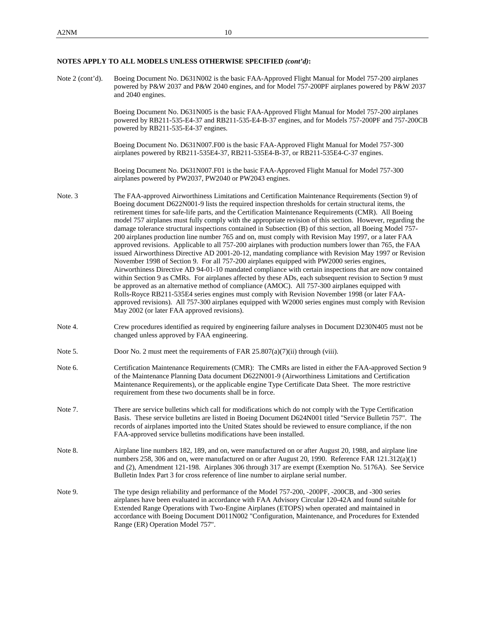Note 2 (cont'd). Boeing Document No. D631N002 is the basic FAA-Approved Flight Manual for Model 757-200 airplanes powered by P&W 2037 and P&W 2040 engines, and for Model 757-200PF airplanes powered by P&W 2037 and 2040 engines.

> Boeing Document No. D631N005 is the basic FAA-Approved Flight Manual for Model 757-200 airplanes powered by RB211-535-E4-37 and RB211-535-E4-B-37 engines, and for Models 757-200PF and 757-200CB powered by RB211-535-E4-37 engines.

Boeing Document No. D631N007.F00 is the basic FAA-Approved Flight Manual for Model 757-300 airplanes powered by RB211-535E4-37, RB211-535E4-B-37, or RB211-535E4-C-37 engines.

Boeing Document No. D631N007.F01 is the basic FAA-Approved Flight Manual for Model 757-300 airplanes powered by PW2037, PW2040 or PW2043 engines.

- Note. 3 The FAA-approved Airworthiness Limitations and Certification Maintenance Requirements (Section 9) of Boeing document D622N001-9 lists the required inspection thresholds for certain structural items, the retirement times for safe-life parts, and the Certification Maintenance Requirements (CMR). All Boeing model 757 airplanes must fully comply with the appropriate revision of this section. However, regarding the damage tolerance structural inspections contained in Subsection (B) of this section, all Boeing Model 757- 200 airplanes production line number 765 and on, must comply with Revision May 1997, or a later FAA approved revisions. Applicable to all 757-200 airplanes with production numbers lower than 765, the FAA issued Airworthiness Directive AD 2001-20-12, mandating compliance with Revision May 1997 or Revision November 1998 of Section 9. For all 757-200 airplanes equipped with PW2000 series engines, Airworthiness Directive AD 94-01-10 mandated compliance with certain inspections that are now contained within Section 9 as CMRs. For airplanes affected by these ADs, each subsequent revision to Section 9 must be approved as an alternative method of compliance (AMOC). All 757-300 airplanes equipped with Rolls-Royce RB211-535E4 series engines must comply with Revision November 1998 (or later FAAapproved revisions). All 757-300 airplanes equipped with W2000 series engines must comply with Revision May 2002 (or later FAA approved revisions).
- Note 4. Crew procedures identified as required by engineering failure analyses in Document D230N405 must not be changed unless approved by FAA engineering.
- Note 5. Door No. 2 must meet the requirements of FAR  $25.807(a)(7)(ii)$  through (viii).
- Note 6. Certification Maintenance Requirements (CMR): The CMRs are listed in either the FAA-approved Section 9 of the Maintenance Planning Data document D622N001-9 (Airworthiness Limitations and Certification Maintenance Requirements), or the applicable engine Type Certificate Data Sheet. The more restrictive requirement from these two documents shall be in force.
- Note 7. There are service bulletins which call for modifications which do not comply with the Type Certification Basis. These service bulletins are listed in Boeing Document D624N001 titled "Service Bulletin 757". The records of airplanes imported into the United States should be reviewed to ensure compliance, if the non FAA-approved service bulletins modifications have been installed.
- Note 8. Airplane line numbers 182, 189, and on, were manufactured on or after August 20, 1988, and airplane line numbers 258, 306 and on, were manufactured on or after August 20, 1990. Reference FAR 121.312(a)(1) and (2), Amendment 121-198. Airplanes 306 through 317 are exempt (Exemption No. 5176A). See Service Bulletin Index Part 3 for cross reference of line number to airplane serial number.
- Note 9. The type design reliability and performance of the Model 757-200, -200PF, -200CB, and -300 series airplanes have been evaluated in accordance with FAA Advisory Circular 120-42A and found suitable for Extended Range Operations with Two-Engine Airplanes (ETOPS) when operated and maintained in accordance with Boeing Document D011N002 "Configuration, Maintenance, and Procedures for Extended Range (ER) Operation Model 757".